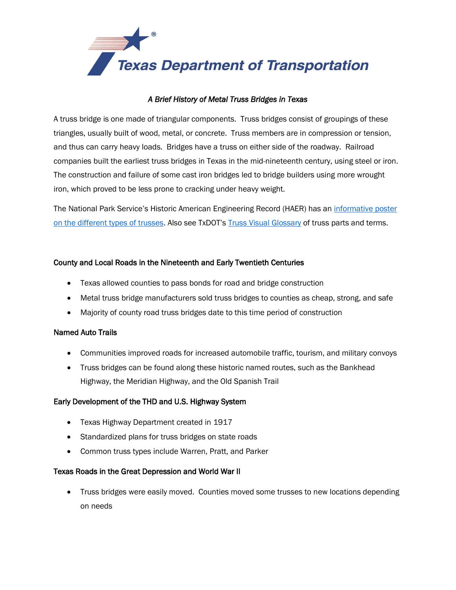

## *A Brief History of Metal Truss Bridges in Texas*

A truss bridge is one made of triangular components. Truss bridges consist of groupings of these triangles, usually built of wood, metal, or concrete. Truss members are in compression or tension, and thus can carry heavy loads. Bridges have a truss on either side of the roadway. Railroad companies built the earliest truss bridges in Texas in the mid-nineteenth century, using steel or iron. The construction and failure of some cast iron bridges led to bridge builders using more wrought iron, which proved to be less prone to cracking under heavy weight.

The National Park Service's Historic American Engineering Record (HAER) has an [informative poster](http://www.nps.gov/hdp/samples/HAER/truss.htm)  [on the different types of trusses.](http://www.nps.gov/hdp/samples/HAER/truss.htm) Also see TxDOT's [Truss Visual Glossary](http://ftp.dot.state.tx.us/pub/txdot-info/env/historic-bridges/metal-truss/glossary.pdf) of truss parts and terms.

### County and Local Roads in the Nineteenth and Early Twentieth Centuries

- Texas allowed counties to pass bonds for road and bridge construction
- Metal truss bridge manufacturers sold truss bridges to counties as cheap, strong, and safe
- Majority of county road truss bridges date to this time period of construction

#### Named Auto Trails

- Communities improved roads for increased automobile traffic, tourism, and military convoys
- Truss bridges can be found along these historic named routes, such as the Bankhead Highway, the Meridian Highway, and the Old Spanish Trail

#### Early Development of the THD and U.S. Highway System

- **•** Texas Highway Department created in 1917
- Standardized plans for truss bridges on state roads
- Common truss types include Warren, Pratt, and Parker

#### Texas Roads in the Great Depression and World War II

• Truss bridges were easily moved. Counties moved some trusses to new locations depending on needs